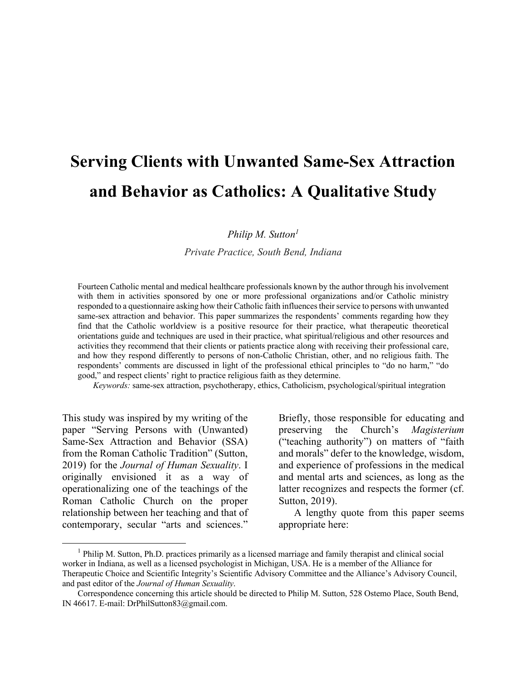# **Serving Clients with Unwanted Same-Sex Attraction and Behavior as Catholics: A Qualitative Study**

*Philip M. Sutton1*

*Private Practice, South Bend, Indiana*

Fourteen Catholic mental and medical healthcare professionals known by the author through his involvement with them in activities sponsored by one or more professional organizations and/or Catholic ministry responded to a questionnaire asking how their Catholic faith influences their service to persons with unwanted same-sex attraction and behavior. This paper summarizes the respondents' comments regarding how they find that the Catholic worldview is a positive resource for their practice, what therapeutic theoretical orientations guide and techniques are used in their practice, what spiritual/religious and other resources and activities they recommend that their clients or patients practice along with receiving their professional care, and how they respond differently to persons of non-Catholic Christian, other, and no religious faith. The respondents' comments are discussed in light of the professional ethical principles to "do no harm," "do good," and respect clients' right to practice religious faith as they determine.

*Keywords:* same-sex attraction, psychotherapy, ethics, Catholicism, psychological/spiritual integration

This study was inspired by my writing of the paper "Serving Persons with (Unwanted) Same-Sex Attraction and Behavior (SSA) from the Roman Catholic Tradition" (Sutton, 2019) for the *Journal of Human Sexuality*. I originally envisioned it as a way of operationalizing one of the teachings of the Roman Catholic Church on the proper relationship between her teaching and that of contemporary, secular "arts and sciences."

 $\overline{\phantom{a}}$ 

Briefly, those responsible for educating and preserving the Church's *Magisterium*  ("teaching authority") on matters of "faith and morals" defer to the knowledge, wisdom, and experience of professions in the medical and mental arts and sciences, as long as the latter recognizes and respects the former (cf. Sutton, 2019).

A lengthy quote from this paper seems appropriate here:

<sup>&</sup>lt;sup>1</sup> Philip M. Sutton, Ph.D. practices primarily as a licensed marriage and family therapist and clinical social worker in Indiana, as well as a licensed psychologist in Michigan, USA. He is a member of the Alliance for Therapeutic Choice and Scientific Integrity's Scientific Advisory Committee and the Alliance's Advisory Council, and past editor of the *Journal of Human Sexuality*.

Correspondence concerning this article should be directed to Philip M. Sutton, 528 Ostemo Place, South Bend, IN 46617. E-mail: DrPhilSutton83@gmail.com.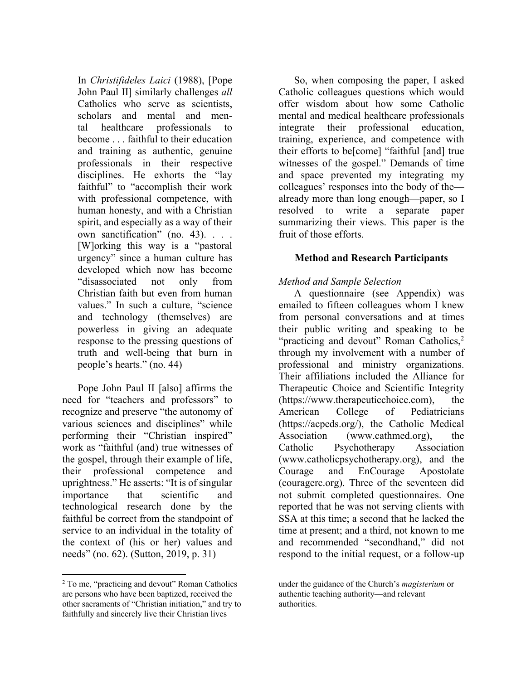In *Christifideles Laici* (1988), [Pope John Paul II] similarly challenges *all*  Catholics who serve as scientists, scholars and mental and mental healthcare professionals to become . . . faithful to their education and training as authentic, genuine professionals in their respective disciplines. He exhorts the "lay faithful" to "accomplish their work with professional competence, with human honesty, and with a Christian spirit, and especially as a way of their own sanctification" (no. 43). . . . [W]orking this way is a "pastoral urgency" since a human culture has developed which now has become "disassociated not only from Christian faith but even from human values." In such a culture, "science and technology (themselves) are powerless in giving an adequate response to the pressing questions of truth and well-being that burn in people's hearts." (no. 44)

Pope John Paul II [also] affirms the need for "teachers and professors" to recognize and preserve "the autonomy of various sciences and disciplines" while performing their "Christian inspired" work as "faithful (and) true witnesses of the gospel, through their example of life, their professional competence and uprightness." He asserts: "It is of singular importance that scientific and technological research done by the faithful be correct from the standpoint of service to an individual in the totality of the context of (his or her) values and needs" (no. 62). (Sutton, 2019, p. 31)

l

So, when composing the paper, I asked Catholic colleagues questions which would offer wisdom about how some Catholic mental and medical healthcare professionals integrate their professional education, training, experience, and competence with their efforts to be[come] "faithful [and] true witnesses of the gospel." Demands of time and space prevented my integrating my colleagues' responses into the body of the already more than long enough—paper, so I resolved to write a separate paper summarizing their views. This paper is the fruit of those efforts.

## **Method and Research Participants**

## *Method and Sample Selection*

A questionnaire (see Appendix) was emailed to fifteen colleagues whom I knew from personal conversations and at times their public writing and speaking to be "practicing and devout" Roman Catholics,<sup>2</sup> through my involvement with a number of professional and ministry organizations. Their affiliations included the Alliance for Therapeutic Choice and Scientific Integrity (https://www.therapeuticchoice.com), the American College of Pediatricians (https://acpeds.org/), the Catholic Medical Association (www.cathmed.org), the Catholic Psychotherapy Association (www.catholicpsychotherapy.org), and the Courage and EnCourage Apostolate (couragerc.org). Three of the seventeen did not submit completed questionnaires. One reported that he was not serving clients with SSA at this time; a second that he lacked the time at present; and a third, not known to me and recommended "secondhand," did not respond to the initial request, or a follow-up

<sup>2</sup> To me, "practicing and devout" Roman Catholics are persons who have been baptized, received the other sacraments of "Christian initiation," and try to faithfully and sincerely live their Christian lives

under the guidance of the Church's *magisterium* or authentic teaching authority—and relevant authorities.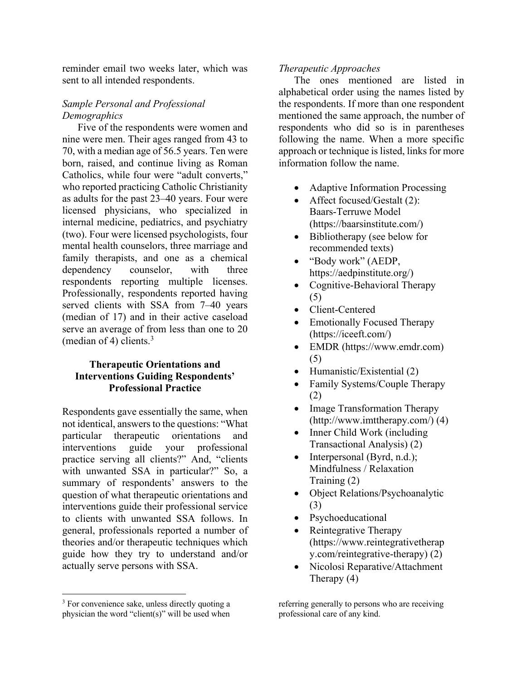reminder email two weeks later, which was sent to all intended respondents.

## *Sample Personal and Professional Demographics*

Five of the respondents were women and nine were men. Their ages ranged from 43 to 70, with a median age of 56.5 years. Ten were born, raised, and continue living as Roman Catholics, while four were "adult converts," who reported practicing Catholic Christianity as adults for the past 23–40 years. Four were licensed physicians, who specialized in internal medicine, pediatrics, and psychiatry (two). Four were licensed psychologists, four mental health counselors, three marriage and family therapists, and one as a chemical dependency counselor, with three respondents reporting multiple licenses. Professionally, respondents reported having served clients with SSA from 7–40 years (median of 17) and in their active caseload serve an average of from less than one to 20 (median of 4) clients.<sup>3</sup>

# **Therapeutic Orientations and Interventions Guiding Respondents' Professional Practice**

Respondents gave essentially the same, when not identical, answers to the questions: "What particular therapeutic orientations and interventions guide your professional practice serving all clients?" And, "clients with unwanted SSA in particular?" So, a summary of respondents' answers to the question of what therapeutic orientations and interventions guide their professional service to clients with unwanted SSA follows. In general, professionals reported a number of theories and/or therapeutic techniques which guide how they try to understand and/or actually serve persons with SSA.

 $\overline{\phantom{a}}$ 

#### *Therapeutic Approaches*

The ones mentioned are listed in alphabetical order using the names listed by the respondents. If more than one respondent mentioned the same approach, the number of respondents who did so is in parentheses following the name. When a more specific approach or technique is listed, links for more information follow the name.

- Adaptive Information Processing
- Affect focused/Gestalt (2): Baars-Terruwe Model (https://baarsinstitute.com/)
- Bibliotherapy (see below for recommended texts)
- "Body work" (AEDP, https://aedpinstitute.org/)
- Cognitive-Behavioral Therapy (5)
- Client-Centered
- Emotionally Focused Therapy (https://iceeft.com/)
- EMDR (https://www.emdr.com) (5)
- Humanistic/Existential (2)
- Family Systems/Couple Therapy (2)
- Image Transformation Therapy (http://www.imttherapy.com/) (4)
- Inner Child Work (including Transactional Analysis) (2)
- Interpersonal (Byrd, n.d.); Mindfulness / Relaxation Training (2)
- Object Relations/Psychoanalytic (3)
- Psychoeducational
- Reintegrative Therapy (https://www.reintegrativetherap y.com/reintegrative-therapy) (2)
- Nicolosi Reparative/Attachment Therapy (4)

<sup>&</sup>lt;sup>3</sup> For convenience sake, unless directly quoting a physician the word "client(s)" will be used when

referring generally to persons who are receiving professional care of any kind.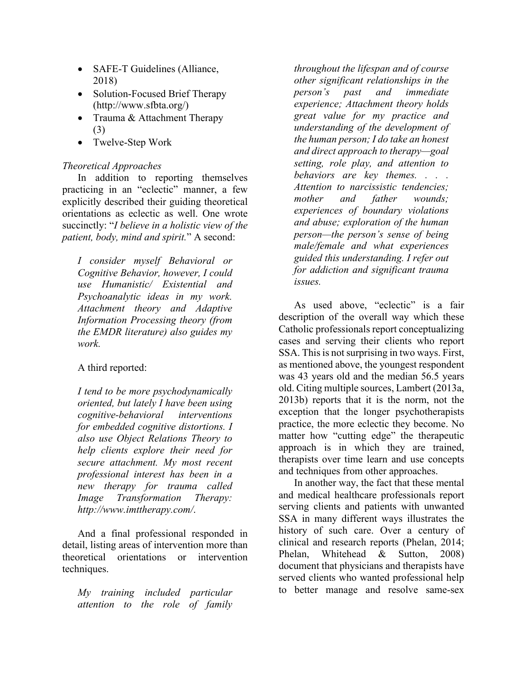- SAFE-T Guidelines (Alliance, 2018)
- Solution-Focused Brief Therapy (http://www.sfbta.org/)
- Trauma & Attachment Therapy (3)
- Twelve-Step Work

## *Theoretical Approaches*

In addition to reporting themselves practicing in an "eclectic" manner, a few explicitly described their guiding theoretical orientations as eclectic as well. One wrote succinctly: "*I believe in a holistic view of the patient, body, mind and spirit.*" A second:

*I consider myself Behavioral or Cognitive Behavior, however, I could use Humanistic/ Existential and Psychoanalytic ideas in my work. Attachment theory and Adaptive Information Processing theory (from the EMDR literature) also guides my work.*

## A third reported:

*I tend to be more psychodynamically oriented, but lately I have been using cognitive-behavioral interventions for embedded cognitive distortions. I also use Object Relations Theory to help clients explore their need for secure attachment. My most recent professional interest has been in a new therapy for trauma called Image Transformation Therapy: http://www.imttherapy.com/*.

And a final professional responded in detail, listing areas of intervention more than theoretical orientations or intervention techniques.

*My training included particular attention to the role of family* 

*throughout the lifespan and of course other significant relationships in the person's past and immediate experience; Attachment theory holds great value for my practice and understanding of the development of the human person; I do take an honest and direct approach to therapy—goal setting, role play, and attention to behaviors are key themes. . . . Attention to narcissistic tendencies; mother and father wounds; experiences of boundary violations and abuse; exploration of the human person—the person's sense of being male/female and what experiences guided this understanding. I refer out for addiction and significant trauma issues.*

As used above, "eclectic" is a fair description of the overall way which these Catholic professionals report conceptualizing cases and serving their clients who report SSA. This is not surprising in two ways. First, as mentioned above, the youngest respondent was 43 years old and the median 56.5 years old. Citing multiple sources, Lambert (2013a, 2013b) reports that it is the norm, not the exception that the longer psychotherapists practice, the more eclectic they become. No matter how "cutting edge" the therapeutic approach is in which they are trained, therapists over time learn and use concepts and techniques from other approaches.

In another way, the fact that these mental and medical healthcare professionals report serving clients and patients with unwanted SSA in many different ways illustrates the history of such care. Over a century of clinical and research reports (Phelan, 2014; Phelan, Whitehead & Sutton, 2008) document that physicians and therapists have served clients who wanted professional help to better manage and resolve same-sex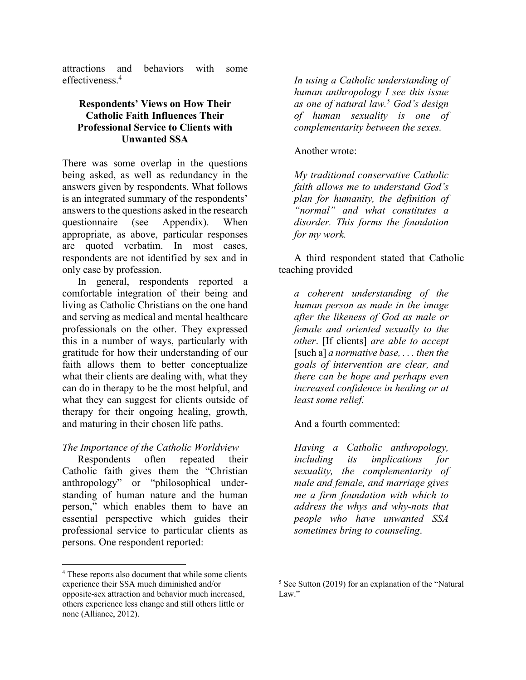attractions and behaviors with some effectiveness. 4

## **Respondents' Views on How Their Catholic Faith Influences Their Professional Service to Clients with Unwanted SSA**

There was some overlap in the questions being asked, as well as redundancy in the answers given by respondents. What follows is an integrated summary of the respondents' answers to the questions asked in the research questionnaire (see Appendix). When appropriate, as above, particular responses are quoted verbatim. In most cases, respondents are not identified by sex and in only case by profession.

In general, respondents reported a comfortable integration of their being and living as Catholic Christians on the one hand and serving as medical and mental healthcare professionals on the other. They expressed this in a number of ways, particularly with gratitude for how their understanding of our faith allows them to better conceptualize what their clients are dealing with, what they can do in therapy to be the most helpful, and what they can suggest for clients outside of therapy for their ongoing healing, growth, and maturing in their chosen life paths.

## *The Importance of the Catholic Worldview*

Respondents often repeated their Catholic faith gives them the "Christian anthropology" or "philosophical understanding of human nature and the human person," which enables them to have an essential perspective which guides their professional service to particular clients as persons. One respondent reported:

 $\overline{\phantom{a}}$ 

*In using a Catholic understanding of human anthropology I see this issue as one of natural law. <sup>5</sup> God's design of human sexuality is one of complementarity between the sexes.*

## Another wrote:

*My traditional conservative Catholic faith allows me to understand God's plan for humanity, the definition of "normal" and what constitutes a disorder. This forms the foundation for my work.*

A third respondent stated that Catholic teaching provided

*a coherent understanding of the human person as made in the image after the likeness of God as male or female and oriented sexually to the other*. [If clients] *are able to accept* [such a] *a normative base, . . . then the goals of intervention are clear, and there can be hope and perhaps even increased confidence in healing or at least some relief.*

And a fourth commented:

*Having a Catholic anthropology, including its implications for sexuality, the complementarity of male and female, and marriage gives me a firm foundation with which to address the whys and why-nots that people who have unwanted SSA sometimes bring to counseling*.

<sup>4</sup> These reports also document that while some clients experience their SSA much diminished and/or opposite-sex attraction and behavior much increased, others experience less change and still others little or none (Alliance, 2012).

<sup>5</sup> See Sutton (2019) for an explanation of the "Natural Law."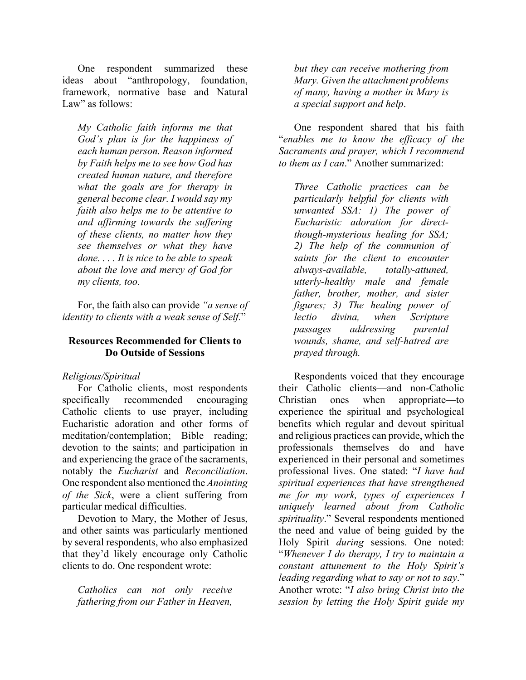One respondent summarized these ideas about "anthropology, foundation, framework, normative base and Natural Law" as follows:

*My Catholic faith informs me that God's plan is for the happiness of each human person. Reason informed by Faith helps me to see how God has created human nature, and therefore what the goals are for therapy in general become clear. I would say my faith also helps me to be attentive to and affirming towards the suffering of these clients, no matter how they see themselves or what they have done. . . . It is nice to be able to speak about the love and mercy of God for my clients, too.*

For, the faith also can provide *"a sense of identity to clients with a weak sense of Self.*"

## **Resources Recommended for Clients to Do Outside of Sessions**

#### *Religious/Spiritual*

For Catholic clients, most respondents specifically recommended encouraging Catholic clients to use prayer, including Eucharistic adoration and other forms of meditation/contemplation; Bible reading; devotion to the saints; and participation in and experiencing the grace of the sacraments, notably the *Eucharist* and *Reconciliation*. One respondent also mentioned the *Anointing of the Sick*, were a client suffering from particular medical difficulties.

Devotion to Mary, the Mother of Jesus, and other saints was particularly mentioned by several respondents, who also emphasized that they'd likely encourage only Catholic clients to do. One respondent wrote:

*Catholics can not only receive fathering from our Father in Heaven,* 

*but they can receive mothering from Mary. Given the attachment problems of many, having a mother in Mary is a special support and help*.

One respondent shared that his faith "*enables me to know the efficacy of the Sacraments and prayer, which I recommend to them as I can*." Another summarized:

*Three Catholic practices can be particularly helpful for clients with unwanted SSA: 1) The power of Eucharistic adoration for directthough-mysterious healing for SSA; 2) The help of the communion of saints for the client to encounter always-available, totally-attuned, utterly-healthy male and female father, brother, mother, and sister figures; 3) The healing power of lectio divina, when Scripture passages addressing parental wounds, shame, and self-hatred are prayed through.*

Respondents voiced that they encourage their Catholic clients—and non-Catholic Christian ones when appropriate—to experience the spiritual and psychological benefits which regular and devout spiritual and religious practices can provide, which the professionals themselves do and have experienced in their personal and sometimes professional lives. One stated: "*I have had spiritual experiences that have strengthened me for my work, types of experiences I uniquely learned about from Catholic spirituality*." Several respondents mentioned the need and value of being guided by the Holy Spirit *during* sessions. One noted: "*Whenever I do therapy, I try to maintain a constant attunement to the Holy Spirit's leading regarding what to say or not to say*." Another wrote: "*I also bring Christ into the session by letting the Holy Spirit guide my*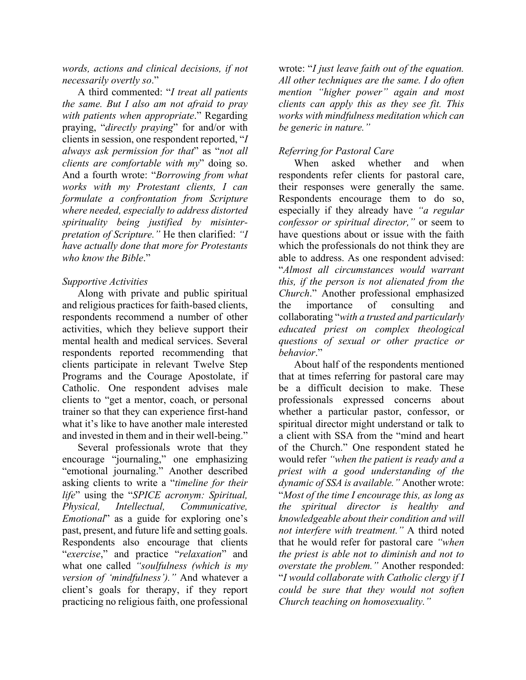*words, actions and clinical decisions, if not necessarily overtly so*."

A third commented: "*I treat all patients the same. But I also am not afraid to pray with patients when appropriate*." Regarding praying, "*directly praying*" for and/or with clients in session, one respondent reported, "*I always ask permission for that*" as "*not all clients are comfortable with my*" doing so. And a fourth wrote: "*Borrowing from what works with my Protestant clients, I can formulate a confrontation from Scripture where needed, especially to address distorted spirituality being justified by misinterpretation of Scripture."* He then clarified: *"I have actually done that more for Protestants who know the Bible*."

## *Supportive Activities*

Along with private and public spiritual and religious practices for faith-based clients, respondents recommend a number of other activities, which they believe support their mental health and medical services. Several respondents reported recommending that clients participate in relevant Twelve Step Programs and the Courage Apostolate, if Catholic. One respondent advises male clients to "get a mentor, coach, or personal trainer so that they can experience first-hand what it's like to have another male interested and invested in them and in their well-being."

Several professionals wrote that they encourage "journaling," one emphasizing "emotional journaling." Another described asking clients to write a "*timeline for their life*" using the "*SPICE acronym: Spiritual, Physical, Intellectual, Communicative, Emotional*" as a guide for exploring one's past, present, and future life and setting goals. Respondents also encourage that clients "*exercise*," and practice "*relaxation*" and what one called *"soulfulness (which is my version of 'mindfulness')."* And whatever a client's goals for therapy, if they report practicing no religious faith, one professional

wrote: "*I just leave faith out of the equation. All other techniques are the same. I do often mention "higher power" again and most clients can apply this as they see fit. This works with mindfulness meditation which can be generic in nature."*

# *Referring for Pastoral Care*

When asked whether and when respondents refer clients for pastoral care, their responses were generally the same. Respondents encourage them to do so, especially if they already have *"a regular confessor or spiritual director,"* or seem to have questions about or issue with the faith which the professionals do not think they are able to address. As one respondent advised: "*Almost all circumstances would warrant this, if the person is not alienated from the Church*." Another professional emphasized the importance of consulting and collaborating "*with a trusted and particularly educated priest on complex theological questions of sexual or other practice or behavior*."

About half of the respondents mentioned that at times referring for pastoral care may be a difficult decision to make. These professionals expressed concerns about whether a particular pastor, confessor, or spiritual director might understand or talk to a client with SSA from the "mind and heart of the Church." One respondent stated he would refer *"when the patient is ready and a priest with a good understanding of the dynamic of SSA is available."* Another wrote: "*Most of the time I encourage this, as long as the spiritual director is healthy and knowledgeable about their condition and will not interfere with treatment."* A third noted that he would refer for pastoral care *"when the priest is able not to diminish and not to overstate the problem."* Another responded: "*I would collaborate with Catholic clergy if I could be sure that they would not soften Church teaching on homosexuality."*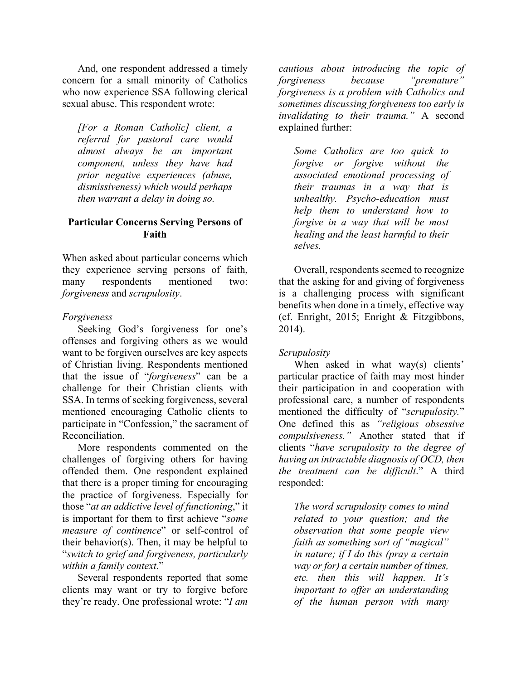And, one respondent addressed a timely concern for a small minority of Catholics who now experience SSA following clerical sexual abuse. This respondent wrote:

*[For a Roman Catholic] client, a referral for pastoral care would almost always be an important component, unless they have had prior negative experiences (abuse, dismissiveness) which would perhaps then warrant a delay in doing so.*

### **Particular Concerns Serving Persons of Faith**

When asked about particular concerns which they experience serving persons of faith, many respondents mentioned two: *forgiveness* and *scrupulosity*.

#### *Forgiveness*

Seeking God's forgiveness for one's offenses and forgiving others as we would want to be forgiven ourselves are key aspects of Christian living. Respondents mentioned that the issue of "*forgiveness*" can be a challenge for their Christian clients with SSA. In terms of seeking forgiveness, several mentioned encouraging Catholic clients to participate in "Confession," the sacrament of Reconciliation.

More respondents commented on the challenges of forgiving others for having offended them. One respondent explained that there is a proper timing for encouraging the practice of forgiveness. Especially for those "*at an addictive level of functioning*," it is important for them to first achieve "*some measure of continence*" or self-control of their behavior(s). Then, it may be helpful to "*switch to grief and forgiveness, particularly within a family context*."

Several respondents reported that some clients may want or try to forgive before they're ready. One professional wrote: "*I am* 

*cautious about introducing the topic of forgiveness because "premature" forgiveness is a problem with Catholics and sometimes discussing forgiveness too early is invalidating to their trauma."* A second explained further:

*Some Catholics are too quick to forgive or forgive without the associated emotional processing of their traumas in a way that is unhealthy. Psycho-education must help them to understand how to forgive in a way that will be most healing and the least harmful to their selves.*

Overall, respondents seemed to recognize that the asking for and giving of forgiveness is a challenging process with significant benefits when done in a timely, effective way (cf. Enright, 2015; Enright & Fitzgibbons, 2014).

## *Scrupulosity*

When asked in what way(s) clients' particular practice of faith may most hinder their participation in and cooperation with professional care, a number of respondents mentioned the difficulty of "*scrupulosity.*" One defined this as *"religious obsessive compulsiveness."* Another stated that if clients "*have scrupulosity to the degree of having an intractable diagnosis of OCD, then the treatment can be difficult*." A third responded:

*The word scrupulosity comes to mind related to your question; and the observation that some people view faith as something sort of "magical" in nature; if I do this (pray a certain way or for) a certain number of times, etc. then this will happen. It's important to offer an understanding of the human person with many*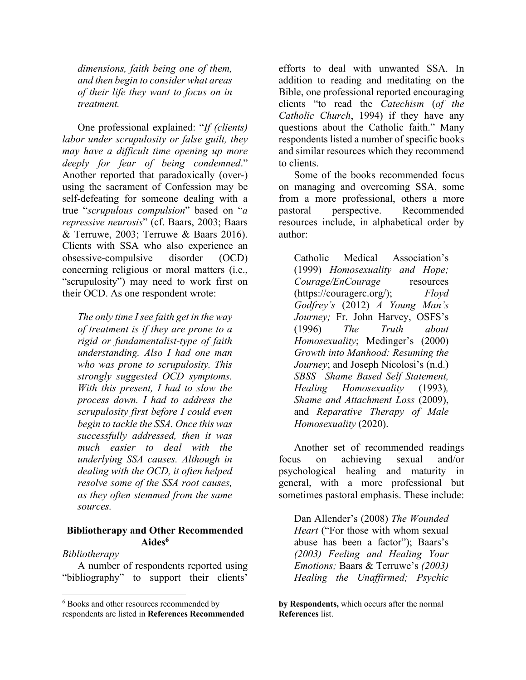*dimensions, faith being one of them, and then begin to consider what areas of their life they want to focus on in treatment.*

One professional explained: "*If (clients) labor under scrupulosity or false guilt, they may have a difficult time opening up more deeply for fear of being condemned*." Another reported that paradoxically (over-) using the sacrament of Confession may be self-defeating for someone dealing with a true "*scrupulous compulsion*" based on "*a repressive neurosis*" (cf. Baars, 2003; Baars & Terruwe, 2003; Terruwe & Baars 2016). Clients with SSA who also experience an obsessive-compulsive disorder (OCD) concerning religious or moral matters (i.e., "scrupulosity") may need to work first on their OCD. As one respondent wrote:

*The only time I see faith get in the way of treatment is if they are prone to a rigid or fundamentalist-type of faith understanding. Also I had one man who was prone to scrupulosity. This strongly suggested OCD symptoms. With this present, I had to slow the process down. I had to address the scrupulosity first before I could even begin to tackle the SSA. Once this was successfully addressed, then it was much easier to deal with the underlying SSA causes. Although in dealing with the OCD, it often helped resolve some of the SSA root causes, as they often stemmed from the same sources.*

#### **Bibliotherapy and Other Recommended Aides6**

*Bibliotherapy*

 $\overline{\phantom{a}}$ 

A number of respondents reported using "bibliography" to support their clients'

efforts to deal with unwanted SSA. In addition to reading and meditating on the Bible, one professional reported encouraging clients "to read the *Catechism* (*of the Catholic Church*, 1994) if they have any questions about the Catholic faith." Many respondents listed a number of specific books and similar resources which they recommend to clients.

Some of the books recommended focus on managing and overcoming SSA, some from a more professional, others a more pastoral perspective. Recommended resources include, in alphabetical order by author:

Catholic Medical Association's (1999) *Homosexuality and Hope; Courage/EnCourage* resources (https://couragerc.org/); *Floyd Godfrey's* (2012) *A Young Man's Journey;* Fr. John Harvey, OSFS's (1996) *The Truth about Homosexuality*; Medinger's (2000) *Growth into Manhood: Resuming the Journey*; and Joseph Nicolosi's (n.d.) *SBSS—Shame Based Self Statement, Healing Homosexuality* (1993)*, Shame and Attachment Loss* (2009), and *Reparative Therapy of Male Homosexuality* (2020).

Another set of recommended readings focus on achieving sexual and/or psychological healing and maturity in general, with a more professional but sometimes pastoral emphasis. These include:

Dan Allender's (2008) *The Wounded Heart* ("For those with whom sexual abuse has been a factor"); Baars's *(2003) Feeling and Healing Your Emotions;* Baars & Terruwe's *(2003) Healing the Unaffirmed; Psychic* 

**by Respondents,** which occurs after the normal **References** list.

<sup>6</sup> Books and other resources recommended by respondents are listed in **References Recommended**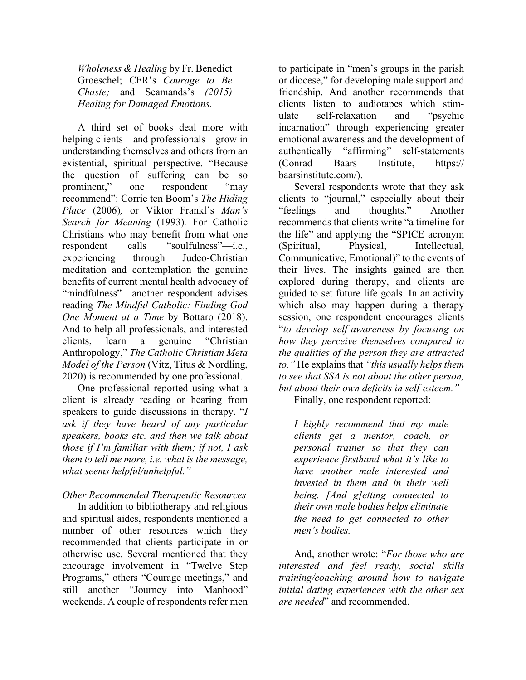*Wholeness & Healing* by Fr. Benedict Groeschel; CFR's *Courage to Be Chaste;* and Seamands's *(2015) Healing for Damaged Emotions.*

A third set of books deal more with helping clients—and professionals—grow in understanding themselves and others from an existential, spiritual perspective. "Because the question of suffering can be so prominent," one respondent "may recommend": Corrie ten Boom's *The Hiding Place* (2006)*,* or Viktor Frankl's *Man's Search for Meaning* (1993)*.* For Catholic Christians who may benefit from what one respondent calls "soulfulness"—i.e., experiencing through Judeo-Christian meditation and contemplation the genuine benefits of current mental health advocacy of "mindfulness"—another respondent advises reading *The Mindful Catholic: Finding God One Moment at a Time* by Bottaro (2018). And to help all professionals, and interested clients, learn a genuine "Christian Anthropology," *The Catholic Christian Meta Model of the Person* (Vitz, Titus & Nordling, 2020) is recommended by one professional.

One professional reported using what a client is already reading or hearing from speakers to guide discussions in therapy. "*I ask if they have heard of any particular speakers, books etc. and then we talk about those if I'm familiar with them; if not, I ask them to tell me more, i.e. what is the message, what seems helpful/unhelpful."*

## *Other Recommended Therapeutic Resources*

In addition to bibliotherapy and religious and spiritual aides, respondents mentioned a number of other resources which they recommended that clients participate in or otherwise use. Several mentioned that they encourage involvement in "Twelve Step Programs," others "Courage meetings," and still another "Journey into Manhood" weekends. A couple of respondents refer men

to participate in "men's groups in the parish or diocese," for developing male support and friendship. And another recommends that clients listen to audiotapes which stimulate self-relaxation and "psychic incarnation" through experiencing greater emotional awareness and the development of authentically "affirming" self-statements (Conrad Baars Institute, https:// baarsinstitute.com/).

Several respondents wrote that they ask clients to "journal," especially about their "feelings and thoughts." Another recommends that clients write "a timeline for the life" and applying the "SPICE acronym (Spiritual, Physical, Intellectual, Communicative, Emotional)" to the events of their lives. The insights gained are then explored during therapy, and clients are guided to set future life goals. In an activity which also may happen during a therapy session, one respondent encourages clients "*to develop self-awareness by focusing on how they perceive themselves compared to the qualities of the person they are attracted to."* He explains that *"this usually helps them to see that SSA is not about the other person, but about their own deficits in self-esteem."*

Finally, one respondent reported:

*I highly recommend that my male clients get a mentor, coach, or personal trainer so that they can experience firsthand what it's like to have another male interested and invested in them and in their well being. [And g]etting connected to their own male bodies helps eliminate the need to get connected to other men's bodies.*

And, another wrote: "*For those who are interested and feel ready, social skills training/coaching around how to navigate initial dating experiences with the other sex are needed*" and recommended.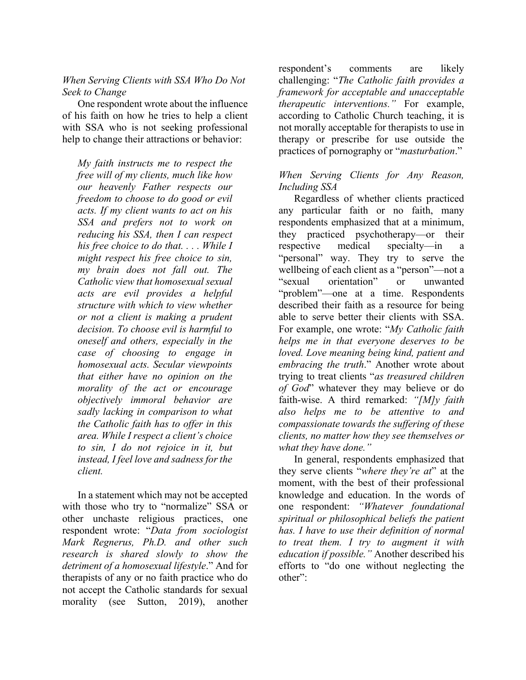## *When Serving Clients with SSA Who Do Not Seek to Change*

One respondent wrote about the influence of his faith on how he tries to help a client with SSA who is not seeking professional help to change their attractions or behavior:

*My faith instructs me to respect the free will of my clients, much like how our heavenly Father respects our freedom to choose to do good or evil acts. If my client wants to act on his SSA and prefers not to work on reducing his SSA, then I can respect his free choice to do that. . . . While I might respect his free choice to sin, my brain does not fall out. The Catholic view that homosexual sexual acts are evil provides a helpful structure with which to view whether or not a client is making a prudent decision. To choose evil is harmful to oneself and others, especially in the case of choosing to engage in homosexual acts. Secular viewpoints that either have no opinion on the morality of the act or encourage objectively immoral behavior are sadly lacking in comparison to what the Catholic faith has to offer in this area. While I respect a client's choice to sin, I do not rejoice in it, but instead, I feel love and sadness for the client.*

In a statement which may not be accepted with those who try to "normalize" SSA or other unchaste religious practices, one respondent wrote: "*Data from sociologist Mark Regnerus, Ph.D. and other such research is shared slowly to show the detriment of a homosexual lifestyle*." And for therapists of any or no faith practice who do not accept the Catholic standards for sexual morality (see Sutton, 2019), another

respondent's comments are likely challenging: "*The Catholic faith provides a framework for acceptable and unacceptable therapeutic interventions."* For example, according to Catholic Church teaching, it is not morally acceptable for therapists to use in therapy or prescribe for use outside the practices of pornography or "*masturbation*."

## *When Serving Clients for Any Reason, Including SSA*

Regardless of whether clients practiced any particular faith or no faith, many respondents emphasized that at a minimum, they practiced psychotherapy—or their respective medical specialty—in a "personal" way. They try to serve the wellbeing of each client as a "person"—not a "sexual orientation" or unwanted "problem"—one at a time. Respondents described their faith as a resource for being able to serve better their clients with SSA. For example, one wrote: "*My Catholic faith helps me in that everyone deserves to be loved. Love meaning being kind, patient and embracing the truth*." Another wrote about trying to treat clients "*as treasured children of God*" whatever they may believe or do faith-wise. A third remarked: *"[M]y faith also helps me to be attentive to and compassionate towards the suffering of these clients, no matter how they see themselves or what they have done."*

In general, respondents emphasized that they serve clients "*where they're at*" at the moment, with the best of their professional knowledge and education. In the words of one respondent: *"Whatever foundational spiritual or philosophical beliefs the patient has. I have to use their definition of normal to treat them. I try to augment it with education if possible."* Another described his efforts to "do one without neglecting the other":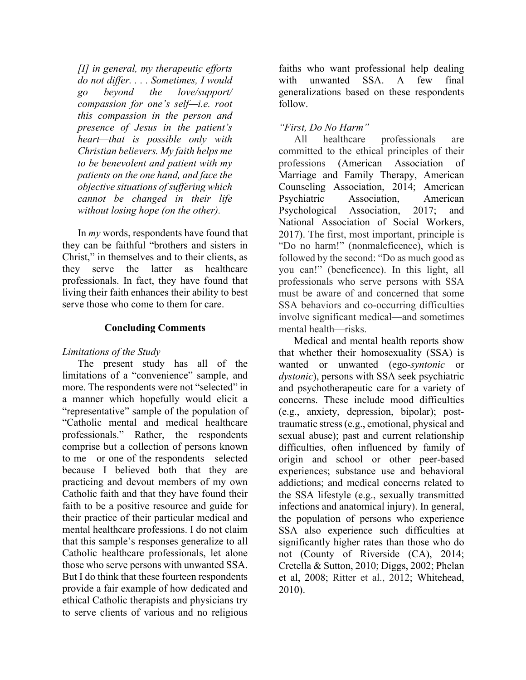*[I] in general, my therapeutic efforts do not differ. . . . Sometimes, I would go beyond the love/support/ compassion for one's self—i.e. root this compassion in the person and presence of Jesus in the patient's heart—that is possible only with Christian believers. My faith helps me to be benevolent and patient with my patients on the one hand, and face the objective situations of suffering which cannot be changed in their life without losing hope (on the other).*

In *my* words, respondents have found that they can be faithful "brothers and sisters in Christ," in themselves and to their clients, as they serve the latter as healthcare professionals. In fact, they have found that living their faith enhances their ability to best serve those who come to them for care.

## **Concluding Comments**

## *Limitations of the Study*

The present study has all of the limitations of a "convenience" sample, and more. The respondents were not "selected" in a manner which hopefully would elicit a "representative" sample of the population of "Catholic mental and medical healthcare professionals." Rather, the respondents comprise but a collection of persons known to me—or one of the respondents—selected because I believed both that they are practicing and devout members of my own Catholic faith and that they have found their faith to be a positive resource and guide for their practice of their particular medical and mental healthcare professions. I do not claim that this sample's responses generalize to all Catholic healthcare professionals, let alone those who serve persons with unwanted SSA. But I do think that these fourteen respondents provide a fair example of how dedicated and ethical Catholic therapists and physicians try to serve clients of various and no religious

faiths who want professional help dealing with unwanted SSA. A few final generalizations based on these respondents follow.

# *"First, Do No Harm"*

All healthcare professionals are committed to the ethical principles of their professions (American Association of Marriage and Family Therapy, American Counseling Association, 2014; American Psychiatric Association, American Psychological Association, 2017; and National Association of Social Workers, 2017). The first, most important, principle is "Do no harm!" (nonmaleficence), which is followed by the second: "Do as much good as you can!" (beneficence). In this light, all professionals who serve persons with SSA must be aware of and concerned that some SSA behaviors and co-occurring difficulties involve significant medical—and sometimes mental health—risks.

Medical and mental health reports show that whether their homosexuality (SSA) is wanted or unwanted (ego-*syntonic* or *dystonic*), persons with SSA seek psychiatric and psychotherapeutic care for a variety of concerns. These include mood difficulties (e.g., anxiety, depression, bipolar); posttraumatic stress (e.g., emotional, physical and sexual abuse); past and current relationship difficulties, often influenced by family of origin and school or other peer-based experiences; substance use and behavioral addictions; and medical concerns related to the SSA lifestyle (e.g., sexually transmitted infections and anatomical injury). In general, the population of persons who experience SSA also experience such difficulties at significantly higher rates than those who do not (County of Riverside (CA), 2014; Cretella & Sutton, 2010; Diggs, 2002; Phelan et al, 2008; Ritter et al., 2012; Whitehead, 2010).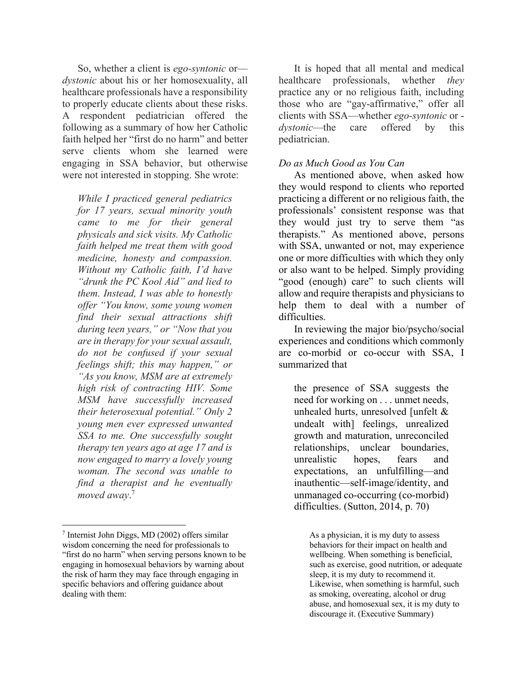So, whether a client is *ego-syntonic* or *dystonic* about his or her homosexuality, all healthcare professionals have a responsibility to properly educate clients about these risks. A respondent pediatrician offered the following as a summary of how her Catholic faith helped her "first do no harm" and better serve clients whom she learned were engaging in SSA behavior, but otherwise were not interested in stopping. She wrote:

*While I practiced general pediatrics for 17 years, sexual minority youth came to me for their general physicals and sick visits. My Catholic faith helped me treat them with good medicine, honesty and compassion. Without my Catholic faith, I'd have "drunk the PC Kool Aid" and lied to them. Instead, I was able to honestly offer "You know, some young women find their sexual attractions shift during teen years," or "Now that you are in therapy for your sexual assault, do not be confused if your sexual feelings shift; this may happen," or "As you know, MSM are at extremely high risk of contracting HIV. Some MSM have successfully increased their heterosexual potential." Only 2 young men ever expressed unwanted SSA to me. One successfully sought therapy ten years ago at age 17 and is now engaged to marry a lovely young woman. The second was unable to find a therapist and he eventually moved away*. 7

l

It is hoped that all mental and medical healthcare professionals, whether *they* practice any or no religious faith, including those who are "gay-affirmative," offer all clients with SSA—whether *ego-syntonic* or *dystonic*—the care offered by this pediatrician.

#### *Do as Much Good as You Can*

As mentioned above, when asked how they would respond to clients who reported practicing a different or no religious faith, the professionals' consistent response was that they would just try to serve them "as therapists." As mentioned above, persons with SSA, unwanted or not, may experience one or more difficulties with which they only or also want to be helped. Simply providing "good (enough) care" to such clients will allow and require therapists and physicians to help them to deal with a number of difficulties.

In reviewing the major bio/psycho/social experiences and conditions which commonly are co-morbid or co-occur with SSA, I summarized that

the presence of SSA suggests the need for working on . . . unmet needs, unhealed hurts, unresolved [unfelt & undealt with] feelings, unrealized growth and maturation, unreconciled relationships, unclear boundaries, unrealistic hopes, fears and expectations, an unfulfilling—and inauthentic—self-image/identity, and unmanaged co-occurring (co-morbid) difficulties. (Sutton, 2014, p. 70)

<sup>7</sup> Internist John Diggs, MD (2002) offers similar wisdom concerning the need for professionals to "first do no harm" when serving persons known to be engaging in homosexual behaviors by warning about the risk of harm they may face through engaging in specific behaviors and offering guidance about dealing with them:

As a physician, it is my duty to assess behaviors for their impact on health and wellbeing. When something is beneficial, such as exercise, good nutrition, or adequate sleep, it is my duty to recommend it. Likewise, when something is harmful, such as smoking, overeating, alcohol or drug abuse, and homosexual sex, it is my duty to discourage it. (Executive Summary)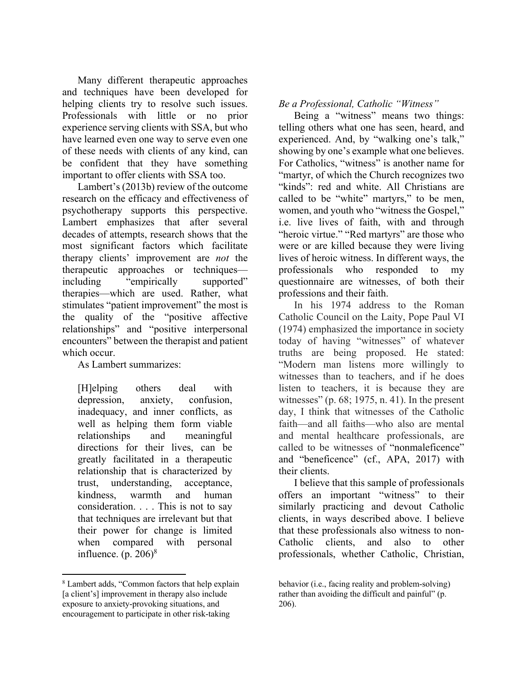Many different therapeutic approaches and techniques have been developed for helping clients try to resolve such issues. Professionals with little or no prior experience serving clients with SSA, but who have learned even one way to serve even one of these needs with clients of any kind, can be confident that they have something important to offer clients with SSA too.

Lambert's (2013b) review of the outcome research on the efficacy and effectiveness of psychotherapy supports this perspective. Lambert emphasizes that after several decades of attempts, research shows that the most significant factors which facilitate therapy clients' improvement are *not* the therapeutic approaches or techniques including "empirically supported" therapies—which are used. Rather, what stimulates "patient improvement" the most is the quality of the "positive affective relationships" and "positive interpersonal encounters" between the therapist and patient which occur.

As Lambert summarizes:

[H]elping others deal with depression, anxiety, confusion, inadequacy, and inner conflicts, as well as helping them form viable relationships and meaningful directions for their lives, can be greatly facilitated in a therapeutic relationship that is characterized by trust, understanding, acceptance, kindness, warmth and human consideration. . . . This is not to say that techniques are irrelevant but that their power for change is limited when compared with personal influence.  $(p. 206)^8$ 

l

## *Be a Professional, Catholic "Witness"*

Being a "witness" means two things: telling others what one has seen, heard, and experienced. And, by "walking one's talk," showing by one's example what one believes. For Catholics, "witness" is another name for "martyr, of which the Church recognizes two "kinds": red and white. All Christians are called to be "white" martyrs," to be men, women, and youth who "witness the Gospel," i.e. live lives of faith, with and through "heroic virtue." "Red martyrs" are those who were or are killed because they were living lives of heroic witness. In different ways, the professionals who responded to my questionnaire are witnesses, of both their professions and their faith.

In his 1974 address to the Roman Catholic Council on the Laity, Pope Paul VI (1974) emphasized the importance in society today of having "witnesses" of whatever truths are being proposed. He stated: "Modern man listens more willingly to witnesses than to teachers, and if he does listen to teachers, it is because they are witnesses" (p. 68; 1975, n. 41). In the present day, I think that witnesses of the Catholic faith—and all faiths—who also are mental and mental healthcare professionals, are called to be witnesses of "nonmaleficence" and "beneficence" (cf., APA, 2017) with their clients.

I believe that this sample of professionals offers an important "witness" to their similarly practicing and devout Catholic clients, in ways described above. I believe that these professionals also witness to non-Catholic clients, and also to other professionals, whether Catholic, Christian,

<sup>8</sup> Lambert adds, "Common factors that help explain [a client's] improvement in therapy also include exposure to anxiety-provoking situations, and encouragement to participate in other risk-taking

behavior (i.e., facing reality and problem-solving) rather than avoiding the difficult and painful" (p. 206).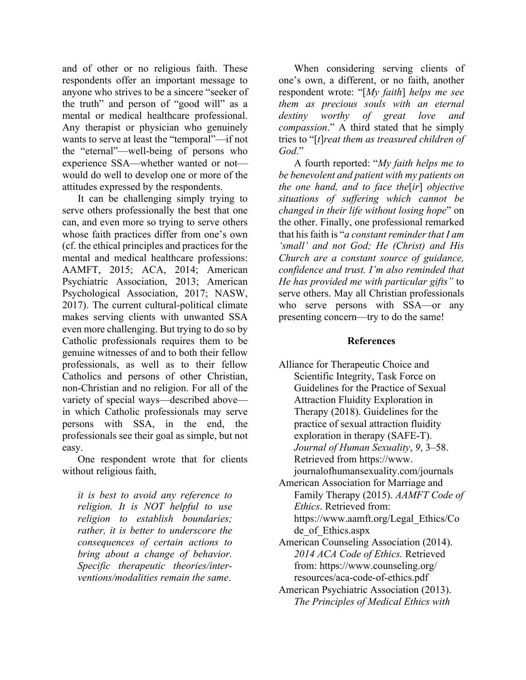and of other or no religious faith. These respondents offer an important message to anyone who strives to be a sincere "seeker of the truth" and person of "good will" as a mental or medical healthcare professional. Any therapist or physician who genuinely wants to serve at least the "temporal"—if not the "eternal"—well-being of persons who experience SSA—whether wanted or not would do well to develop one or more of the attitudes expressed by the respondents.

It can be challenging simply trying to serve others professionally the best that one can, and even more so trying to serve others whose faith practices differ from one's own (cf. the ethical principles and practices for the mental and medical healthcare professions: AAMFT, 2015; ACA, 2014; American Psychiatric Association, 2013; American Psychological Association, 2017; NASW, 2017). The current cultural-political climate makes serving clients with unwanted SSA even more challenging. But trying to do so by Catholic professionals requires them to be genuine witnesses of and to both their fellow professionals, as well as to their fellow Catholics and persons of other Christian, non-Christian and no religion. For all of the variety of special ways—described above in which Catholic professionals may serve persons with SSA, in the end, the professionals see their goal as simple, but not easy.

One respondent wrote that for clients without religious faith,

*it is best to avoid any reference to religion. It is NOT helpful to use religion to establish boundaries; rather, it is better to underscore the consequences of certain actions to bring about a change of behavior. Specific therapeutic theories/interventions/modalities remain the same*.

When considering serving clients of one's own, a different, or no faith, another respondent wrote: "[*My faith*] *helps me see them as precious souls with an eternal destiny worthy of great love and compassion*." A third stated that he simply tries to "[*t*]*reat them as treasured children of God*."

A fourth reported: "*My faith helps me to be benevolent and patient with my patients on the one hand, and to face the*[*ir*] *objective situations of suffering which cannot be changed in their life without losing hope*" on the other. Finally, one professional remarked that his faith is "*a constant reminder that I am 'small' and not God; He (Christ) and His Church are a constant source of guidance, confidence and trust. I'm also reminded that He has provided me with particular gifts"* to serve others. May all Christian professionals who serve persons with SSA—or any presenting concern—try to do the same!

#### **References**

- Alliance for Therapeutic Choice and Scientific Integrity, Task Force on Guidelines for the Practice of Sexual Attraction Fluidity Exploration in Therapy (2018). Guidelines for the practice of sexual attraction fluidity exploration in therapy (SAFE-T). *Journal of Human Sexuality*, *9*, 3–58. Retrieved from https://www. journalofhumansexuality.com/journals
- American Association for Marriage and Family Therapy (2015). *AAMFT Code of Ethics*. Retrieved from: https://www.aamft.org/Legal\_Ethics/Co
- de\_of\_Ethics.aspx American Counseling Association (2014). *2014 ACA Code of Ethics.* Retrieved from: https://www.counseling.org/ resources/aca-code-of-ethics.pdf
- American Psychiatric Association (2013). *The Principles of Medical Ethics with*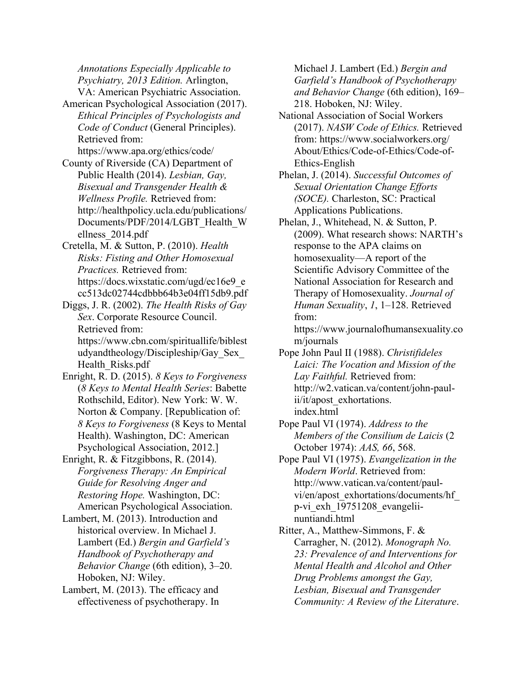*Annotations Especially Applicable to Psychiatry, 2013 Edition.* Arlington, VA: American Psychiatric Association.

- American Psychological Association (2017). *Ethical Principles of Psychologists and Code of Conduct* (General Principles). Retrieved from: https://www.apa.org/ethics/code/
- County of Riverside (CA) Department of Public Health (2014). *Lesbian, Gay, Bisexual and Transgender Health & Wellness Profile.* Retrieved from: http://healthpolicy.ucla.edu/publications/ Documents/PDF/2014/LGBT\_Health\_W ellness\_2014.pdf

Cretella, M. & Sutton, P. (2010). *Health Risks: Fisting and Other Homosexual Practices.* Retrieved from: https://docs.wixstatic.com/ugd/ec16e9\_e cc513dc02744cdbbb64b3e04ff15db9.pdf

Diggs, J. R. (2002). *The Health Risks of Gay Sex.* Corporate Resource Council. Retrieved from: https://www.cbn.com/spirituallife/biblest udyandtheology/Discipleship/Gay\_Sex\_ Health\_Risks.pdf

Enright, R. D. (2015). *8 Keys to Forgiveness*  (*8 Keys to Mental Health Series*: Babette Rothschild, Editor). New York: W. W. Norton & Company. [Republication of: *8 Keys to Forgiveness* (8 Keys to Mental Health). Washington, DC: American Psychological Association, 2012.]

Enright, R. & Fitzgibbons, R. (2014). *Forgiveness Therapy: An Empirical Guide for Resolving Anger and Restoring Hope.* Washington, DC: American Psychological Association.

Lambert, M. (2013). Introduction and historical overview. In Michael J. Lambert (Ed.) *Bergin and Garfield's Handbook of Psychotherapy and Behavior Change* (6th edition), 3–20. Hoboken, NJ: Wiley.

Lambert, M. (2013). The efficacy and effectiveness of psychotherapy. In Michael J. Lambert (Ed.) *Bergin and Garfield's Handbook of Psychotherapy and Behavior Change* (6th edition), 169– 218. Hoboken, NJ: Wiley.

- National Association of Social Workers (2017). *NASW Code of Ethics.* Retrieved from: https://www.socialworkers.org/ About/Ethics/Code-of-Ethics/Code-of-Ethics-English
- Phelan, J. (2014). *Successful Outcomes of Sexual Orientation Change Efforts (SOCE).* Charleston, SC: Practical Applications Publications.
- Phelan, J., Whitehead, N. & Sutton, P. (2009). What research shows: NARTH's response to the APA claims on homosexuality—A report of the Scientific Advisory Committee of the National Association for Research and Therapy of Homosexuality. *Journal of Human Sexuality*, *1*, 1–128. Retrieved from:

https://www.journalofhumansexuality.co m/journals

Pope John Paul II (1988). *Christifideles Laici: The Vocation and Mission of the Lay Faithful.* Retrieved from: http://w2.vatican.va/content/john-paulii/it/apost\_exhortations. index.html

Pope Paul VI (1974). *Address to the Members of the Consilium de Laicis* (2 October 1974): *AAS, 66*, 568.

- Pope Paul VI (1975). *Evangelization in the Modern World*. Retrieved from: http://www.vatican.va/content/paulvi/en/apost\_exhortations/documents/hf\_ p-vi\_exh\_19751208\_evangeliinuntiandi.html
- Ritter, A., Matthew-Simmons, F. & Carragher, N. (2012). *Monograph No. 23: Prevalence of and Interventions for Mental Health and Alcohol and Other Drug Problems amongst the Gay, Lesbian, Bisexual and Transgender Community: A Review of the Literature*.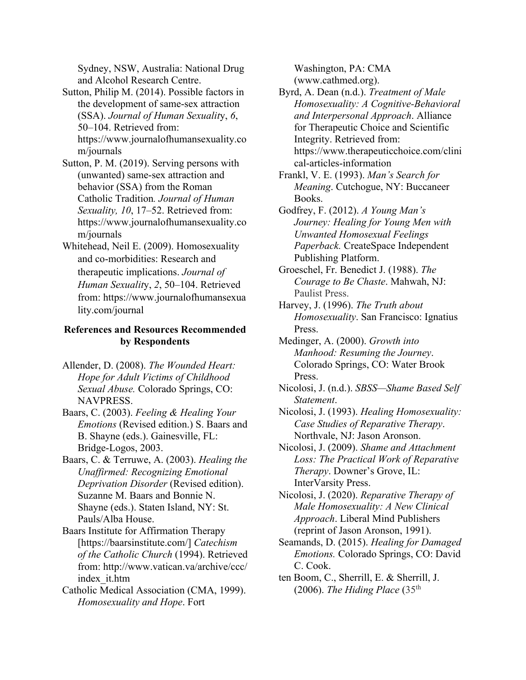Sydney, NSW, Australia: National Drug and Alcohol Research Centre.

- Sutton, Philip M. (2014). Possible factors in the development of same-sex attraction (SSA). *Journal of Human Sexualit*y, *6*, 50–104. Retrieved from: https://www.journalofhumansexuality.co m/journals
- Sutton, P. M. (2019). Serving persons with (unwanted) same-sex attraction and behavior (SSA) from the Roman Catholic Tradition*. Journal of Human Sexuality, 10*, 17–52. Retrieved from: https://www.journalofhumansexuality.co m/journals
- Whitehead, Neil E. (2009). Homosexuality and co-morbidities: Research and therapeutic implications. *Journal of Human Sexualit*y, *2*, 50–104. Retrieved from: https://www.journalofhumansexua lity.com/journal

## **References and Resources Recommended by Respondents**

- Allender, D. (2008). *The Wounded Heart: Hope for Adult Victims of Childhood Sexual Abuse.* Colorado Springs, CO: NAVPRESS.
- Baars, C. (2003). *Feeling & Healing Your Emotions* (Revised edition.) S. Baars and B. Shayne (eds.). Gainesville, FL: Bridge-Logos, 2003.
- Baars, C. & Terruwe, A. (2003). *Healing the Unaffirmed: Recognizing Emotional Deprivation Disorder* (Revised edition). Suzanne M. Baars and Bonnie N. Shayne (eds.). Staten Island, NY: St. Pauls/Alba House.
- Baars Institute for Affirmation Therapy [https://baarsinstitute.com/] *Catechism of the Catholic Church* (1994). Retrieved from: http://www.vatican.va/archive/ccc/ index\_it.htm
- Catholic Medical Association (CMA, 1999). *Homosexuality and Hope*. Fort

Washington, PA: CMA (www.cathmed.org).

- Byrd, A. Dean (n.d.). *Treatment of Male Homosexuality: A Cognitive-Behavioral and Interpersonal Approach*. Alliance for Therapeutic Choice and Scientific Integrity. Retrieved from: https://www.therapeuticchoice.com/clini cal-articles-information
- Frankl, V. E. (1993). *Man's Search for Meaning*. Cutchogue, NY: Buccaneer Books.
- Godfrey, F. (2012). *A Young Man's Journey: Healing for Young Men with Unwanted Homosexual Feelings Paperback.* CreateSpace Independent Publishing Platform.
- Groeschel, Fr. Benedict J. (1988). *The Courage to Be Chaste*. Mahwah, NJ: Paulist Press.
- Harvey, J. (1996). *The Truth about Homosexuality*. San Francisco: Ignatius Press.
- Medinger, A. (2000). *Growth into Manhood: Resuming the Journey*. Colorado Springs, CO: Water Brook Press.
- Nicolosi, J. (n.d.). *SBSS—Shame Based Self Statement*.
- Nicolosi, J. (1993). *Healing Homosexuality: Case Studies of Reparative Therapy*. Northvale, NJ: Jason Aronson.
- Nicolosi, J. (2009). *Shame and Attachment Loss: The Practical Work of Reparative Therapy*. Downer's Grove, IL: InterVarsity Press.
- Nicolosi, J. (2020). *Reparative Therapy of Male Homosexuality: A New Clinical Approach*. Liberal Mind Publishers (reprint of Jason Aronson, 1991).
- Seamands, D. (2015). *Healing for Damaged Emotions.* Colorado Springs, CO: David C. Cook.
- ten Boom, C., Sherrill, E. & Sherrill, J. (2006). *The Hiding Place* (35th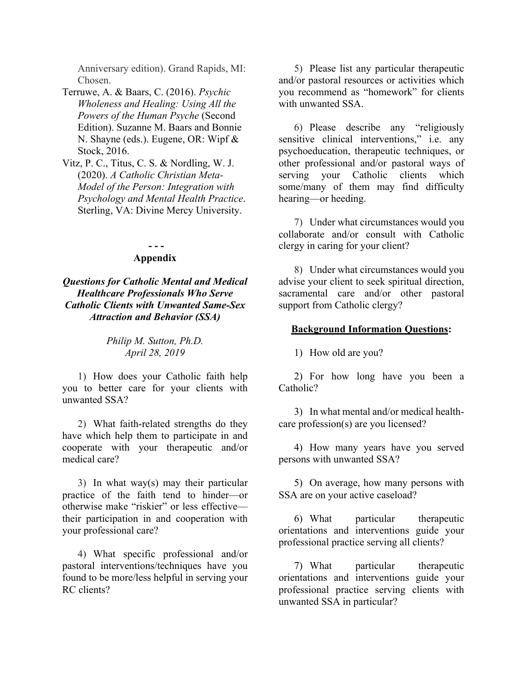Anniversary edition). Grand Rapids, MI: Chosen.

- Terruwe, A. & Baars, C. (2016). *Psychic Wholeness and Healing: Using All the Powers of the Human Psyche* (Second Edition). Suzanne M. Baars and Bonnie N. Shayne (eds.). Eugene, OR: Wipf & Stock, 2016.
- Vitz, P. C., Titus, C. S. & Nordling, W. J. (2020). *A Catholic Christian Meta-Model of the Person: Integration with Psychology and Mental Health Practice*. Sterling, VA: Divine Mercy University.

#### **- - - Appendix**

*Questions for Catholic Mental and Medical Healthcare Professionals Who Serve Catholic Clients with Unwanted Same-Sex Attraction and Behavior (SSA)*

> *Philip M. Sutton, Ph.D. April 28, 2019*

1) How does your Catholic faith help you to better care for your clients with unwanted SSA?

2) What faith-related strengths do they have which help them to participate in and cooperate with your therapeutic and/or medical care?

3) In what way(s) may their particular practice of the faith tend to hinder—or otherwise make "riskier" or less effective their participation in and cooperation with your professional care?

4) What specific professional and/or pastoral interventions/techniques have you found to be more/less helpful in serving your RC clients?

5) Please list any particular therapeutic and/or pastoral resources or activities which you recommend as "homework" for clients with unwanted SSA.

6) Please describe any "religiously sensitive clinical interventions," i.e. any psychoeducation, therapeutic techniques, or other professional and/or pastoral ways of serving your Catholic clients which some/many of them may find difficulty hearing—or heeding.

7) Under what circumstances would you collaborate and/or consult with Catholic clergy in caring for your client?

8) Under what circumstances would you advise your client to seek spiritual direction, sacramental care and/or other pastoral support from Catholic clergy?

#### **Background Information Questions:**

1) How old are you?

2) For how long have you been a Catholic?

3) In what mental and/or medical healthcare profession(s) are you licensed?

4) How many years have you served persons with unwanted SSA?

5) On average, how many persons with SSA are on your active caseload?

6) What particular therapeutic orientations and interventions guide your professional practice serving all clients?

7) What particular therapeutic orientations and interventions guide your professional practice serving clients with unwanted SSA in particular?